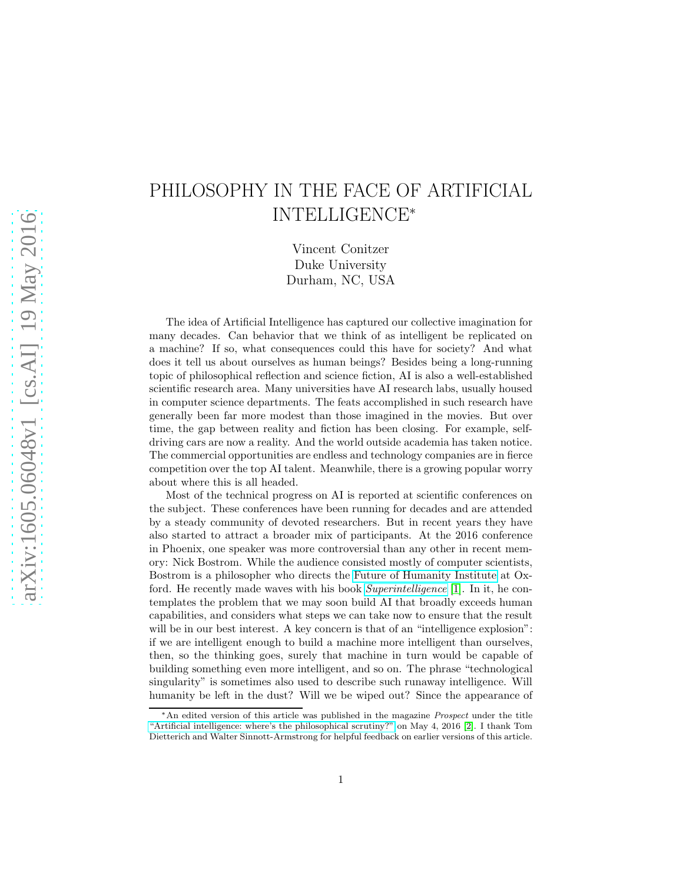## PHILOSOPHY IN THE FACE OF ARTIFICIAL INTELLIGENCE<sup>∗</sup>

Vincent Conitzer Duke University Durham, NC, USA

The idea of Artificial Intelligence has captured our collective imagination for many decades. Can behavior that we think of as intelligent be replicated on a machine? If so, what consequences could this have for society? And what does it tell us about ourselves as human beings? Besides being a long-running topic of philosophical reflection and science fiction, AI is also a well-established scientific research area. Many universities have AI research labs, usually housed in computer science departments. The feats accomplished in such research have generally been far more modest than those imagined in the movies. But over time, the gap between reality and fiction has been closing. For example, selfdriving cars are now a reality. And the world outside academia has taken notice. The commercial opportunities are endless and technology companies are in fierce competition over the top AI talent. Meanwhile, there is a growing popular worry about where this is all headed.

Most of the technical progress on AI is reported at scientific conferences on the subject. These conferences have been running for decades and are attended by a steady community of devoted researchers. But in recent years they have also started to attract a broader mix of participants. At the 2016 conference in Phoenix, one speaker was more controversial than any other in recent memory: Nick Bostrom. While the audience consisted mostly of computer scientists, Bostrom is a philosopher who directs the [Future of Humanity Institute](https://www.fhi.ox.ac.uk/) at Oxford. He recently made waves with his book [Superintelligence](https://global.oup.com/academic/product/superintelligence-9780199678112) [\[1\]](#page-5-0). In it, he contemplates the problem that we may soon build AI that broadly exceeds human capabilities, and considers what steps we can take now to ensure that the result will be in our best interest. A key concern is that of an "intelligence explosion": if we are intelligent enough to build a machine more intelligent than ourselves, then, so the thinking goes, surely that machine in turn would be capable of building something even more intelligent, and so on. The phrase "technological singularity" is sometimes also used to describe such runaway intelligence. Will humanity be left in the dust? Will we be wiped out? Since the appearance of

<sup>∗</sup>An edited version of this article was published in the magazine Prospect under the title ["Artificial intelligence: where's the philosophical scrutiny?"](http://www.prospectmagazine.co.uk/science-and-technology/artificial-intelligence-wheres-the-philosophical-scrutiny) on May 4, 2016 [\[2\]](#page-5-1). I thank Tom Dietterich and Walter Sinnott-Armstrong for helpful feedback on earlier versions of this article.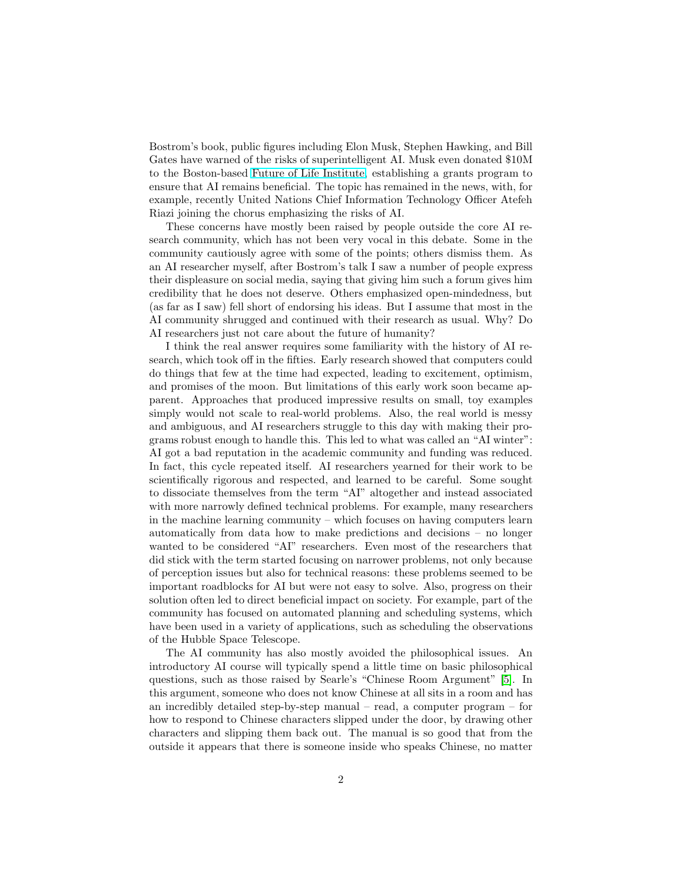Bostrom's book, public figures including Elon Musk, Stephen Hawking, and Bill Gates have warned of the risks of superintelligent AI. Musk even donated \$10M to the Boston-based [Future of Life Institute,](http://futureoflife.org/) establishing a grants program to ensure that AI remains beneficial. The topic has remained in the news, with, for example, recently United Nations Chief Information Technology Officer Atefeh Riazi joining the chorus emphasizing the risks of AI.

These concerns have mostly been raised by people outside the core AI research community, which has not been very vocal in this debate. Some in the community cautiously agree with some of the points; others dismiss them. As an AI researcher myself, after Bostrom's talk I saw a number of people express their displeasure on social media, saying that giving him such a forum gives him credibility that he does not deserve. Others emphasized open-mindedness, but (as far as I saw) fell short of endorsing his ideas. But I assume that most in the AI community shrugged and continued with their research as usual. Why? Do AI researchers just not care about the future of humanity?

I think the real answer requires some familiarity with the history of AI research, which took off in the fifties. Early research showed that computers could do things that few at the time had expected, leading to excitement, optimism, and promises of the moon. But limitations of this early work soon became apparent. Approaches that produced impressive results on small, toy examples simply would not scale to real-world problems. Also, the real world is messy and ambiguous, and AI researchers struggle to this day with making their programs robust enough to handle this. This led to what was called an "AI winter": AI got a bad reputation in the academic community and funding was reduced. In fact, this cycle repeated itself. AI researchers yearned for their work to be scientifically rigorous and respected, and learned to be careful. Some sought to dissociate themselves from the term "AI" altogether and instead associated with more narrowly defined technical problems. For example, many researchers in the machine learning community – which focuses on having computers learn automatically from data how to make predictions and decisions – no longer wanted to be considered "AI" researchers. Even most of the researchers that did stick with the term started focusing on narrower problems, not only because of perception issues but also for technical reasons: these problems seemed to be important roadblocks for AI but were not easy to solve. Also, progress on their solution often led to direct beneficial impact on society. For example, part of the community has focused on automated planning and scheduling systems, which have been used in a variety of applications, such as scheduling the observations of the Hubble Space Telescope.

The AI community has also mostly avoided the philosophical issues. An introductory AI course will typically spend a little time on basic philosophical questions, such as those raised by Searle's "Chinese Room Argument" [\[5\]](#page-5-2). In this argument, someone who does not know Chinese at all sits in a room and has an incredibly detailed step-by-step manual – read, a computer program – for how to respond to Chinese characters slipped under the door, by drawing other characters and slipping them back out. The manual is so good that from the outside it appears that there is someone inside who speaks Chinese, no matter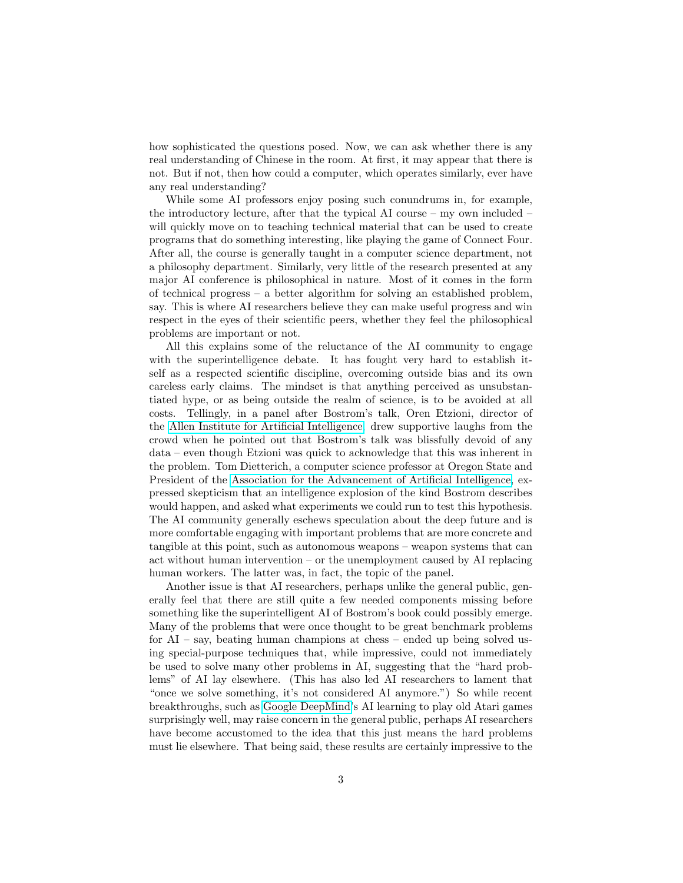how sophisticated the questions posed. Now, we can ask whether there is any real understanding of Chinese in the room. At first, it may appear that there is not. But if not, then how could a computer, which operates similarly, ever have any real understanding?

While some AI professors enjoy posing such conundrums in, for example, the introductory lecture, after that the typical AI course – my own included – will quickly move on to teaching technical material that can be used to create programs that do something interesting, like playing the game of Connect Four. After all, the course is generally taught in a computer science department, not a philosophy department. Similarly, very little of the research presented at any major AI conference is philosophical in nature. Most of it comes in the form of technical progress – a better algorithm for solving an established problem, say. This is where AI researchers believe they can make useful progress and win respect in the eyes of their scientific peers, whether they feel the philosophical problems are important or not.

All this explains some of the reluctance of the AI community to engage with the superintelligence debate. It has fought very hard to establish itself as a respected scientific discipline, overcoming outside bias and its own careless early claims. The mindset is that anything perceived as unsubstantiated hype, or as being outside the realm of science, is to be avoided at all costs. Tellingly, in a panel after Bostrom's talk, Oren Etzioni, director of the [Allen Institute for Artificial Intelligence,](http://allenai.org/) drew supportive laughs from the crowd when he pointed out that Bostrom's talk was blissfully devoid of any data – even though Etzioni was quick to acknowledge that this was inherent in the problem. Tom Dietterich, a computer science professor at Oregon State and President of the [Association for the Advancement of Artificial Intelligence,](http://www.aaai.org/home.html) expressed skepticism that an intelligence explosion of the kind Bostrom describes would happen, and asked what experiments we could run to test this hypothesis. The AI community generally eschews speculation about the deep future and is more comfortable engaging with important problems that are more concrete and tangible at this point, such as autonomous weapons – weapon systems that can act without human intervention – or the unemployment caused by AI replacing human workers. The latter was, in fact, the topic of the panel.

Another issue is that AI researchers, perhaps unlike the general public, generally feel that there are still quite a few needed components missing before something like the superintelligent AI of Bostrom's book could possibly emerge. Many of the problems that were once thought to be great benchmark problems for AI – say, beating human champions at chess – ended up being solved using special-purpose techniques that, while impressive, could not immediately be used to solve many other problems in AI, suggesting that the "hard problems" of AI lay elsewhere. (This has also led AI researchers to lament that "once we solve something, it's not considered AI anymore.") So while recent breakthroughs, such as [Google DeepMind'](https://deepmind.com/)s AI learning to play old Atari games surprisingly well, may raise concern in the general public, perhaps AI researchers have become accustomed to the idea that this just means the hard problems must lie elsewhere. That being said, these results are certainly impressive to the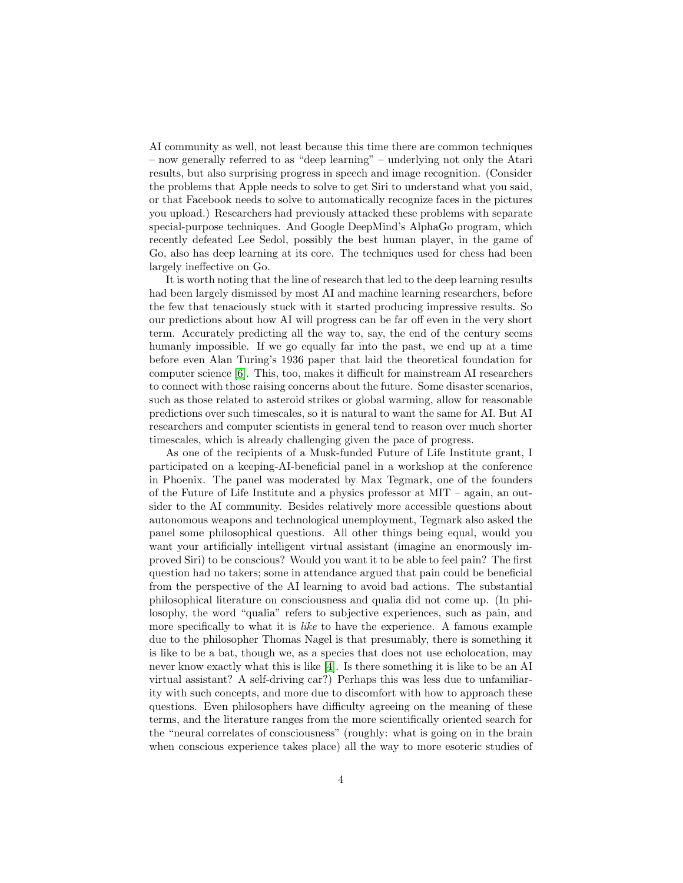AI community as well, not least because this time there are common techniques – now generally referred to as "deep learning" – underlying not only the Atari results, but also surprising progress in speech and image recognition. (Consider the problems that Apple needs to solve to get Siri to understand what you said, or that Facebook needs to solve to automatically recognize faces in the pictures you upload.) Researchers had previously attacked these problems with separate special-purpose techniques. And Google DeepMind's AlphaGo program, which recently defeated Lee Sedol, possibly the best human player, in the game of Go, also has deep learning at its core. The techniques used for chess had been largely ineffective on Go.

It is worth noting that the line of research that led to the deep learning results had been largely dismissed by most AI and machine learning researchers, before the few that tenaciously stuck with it started producing impressive results. So our predictions about how AI will progress can be far off even in the very short term. Accurately predicting all the way to, say, the end of the century seems humanly impossible. If we go equally far into the past, we end up at a time before even Alan Turing's 1936 paper that laid the theoretical foundation for computer science [\[6\]](#page-5-3). This, too, makes it difficult for mainstream AI researchers to connect with those raising concerns about the future. Some disaster scenarios, such as those related to asteroid strikes or global warming, allow for reasonable predictions over such timescales, so it is natural to want the same for AI. But AI researchers and computer scientists in general tend to reason over much shorter timescales, which is already challenging given the pace of progress.

As one of the recipients of a Musk-funded Future of Life Institute grant, I participated on a keeping-AI-beneficial panel in a workshop at the conference in Phoenix. The panel was moderated by Max Tegmark, one of the founders of the Future of Life Institute and a physics professor at MIT – again, an outsider to the AI community. Besides relatively more accessible questions about autonomous weapons and technological unemployment, Tegmark also asked the panel some philosophical questions. All other things being equal, would you want your artificially intelligent virtual assistant (imagine an enormously improved Siri) to be conscious? Would you want it to be able to feel pain? The first question had no takers; some in attendance argued that pain could be beneficial from the perspective of the AI learning to avoid bad actions. The substantial philosophical literature on consciousness and qualia did not come up. (In philosophy, the word "qualia" refers to subjective experiences, such as pain, and more specifically to what it is *like* to have the experience. A famous example due to the philosopher Thomas Nagel is that presumably, there is something it is like to be a bat, though we, as a species that does not use echolocation, may never know exactly what this is like [\[4\]](#page-5-4). Is there something it is like to be an AI virtual assistant? A self-driving car?) Perhaps this was less due to unfamiliarity with such concepts, and more due to discomfort with how to approach these questions. Even philosophers have difficulty agreeing on the meaning of these terms, and the literature ranges from the more scientifically oriented search for the "neural correlates of consciousness" (roughly: what is going on in the brain when conscious experience takes place) all the way to more esoteric studies of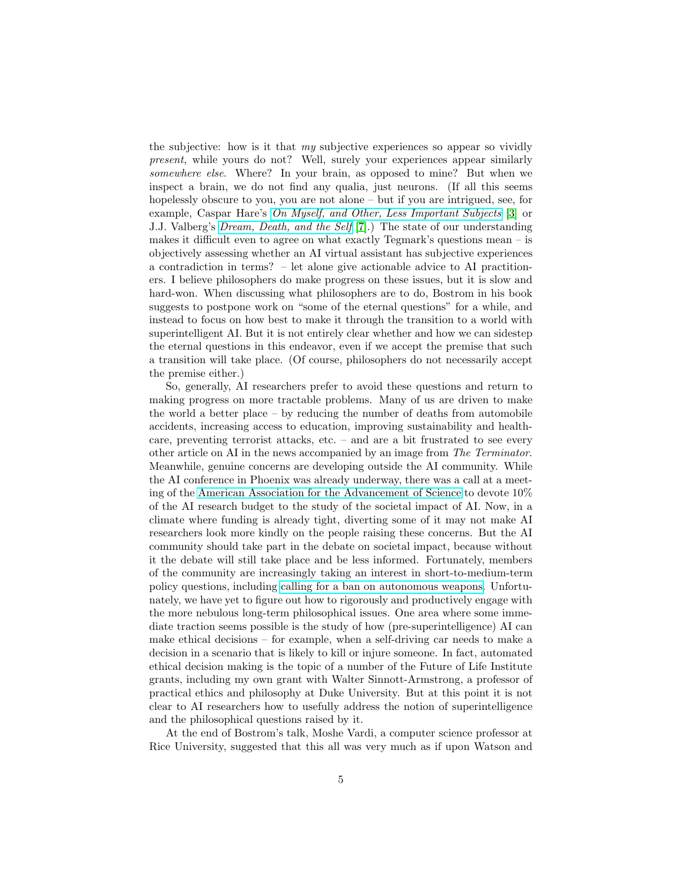the subjective: how is it that  $my$  subjective experiences so appear so vividly present, while yours do not? Well, surely your experiences appear similarly somewhere else. Where? In your brain, as opposed to mine? But when we inspect a brain, we do not find any qualia, just neurons. (If all this seems hopelessly obscure to you, you are not alone – but if you are intrigued, see, for example, Caspar Hare's [On Myself, and Other, Less Important Subjects](http://press.princeton.edu/titles/8921.html) [\[3\]](#page-5-5) or J.J. Valberg's [Dream, Death, and the Self](http://press.princeton.edu/titles/8416.html) [\[7\]](#page-5-6).) The state of our understanding makes it difficult even to agree on what exactly Tegmark's questions mean – is objectively assessing whether an AI virtual assistant has subjective experiences a contradiction in terms? – let alone give actionable advice to AI practitioners. I believe philosophers do make progress on these issues, but it is slow and hard-won. When discussing what philosophers are to do, Bostrom in his book suggests to postpone work on "some of the eternal questions" for a while, and instead to focus on how best to make it through the transition to a world with superintelligent AI. But it is not entirely clear whether and how we can sidestep the eternal questions in this endeavor, even if we accept the premise that such a transition will take place. (Of course, philosophers do not necessarily accept the premise either.)

So, generally, AI researchers prefer to avoid these questions and return to making progress on more tractable problems. Many of us are driven to make the world a better place – by reducing the number of deaths from automobile accidents, increasing access to education, improving sustainability and healthcare, preventing terrorist attacks, etc. – and are a bit frustrated to see every other article on AI in the news accompanied by an image from The Terminator. Meanwhile, genuine concerns are developing outside the AI community. While the AI conference in Phoenix was already underway, there was a call at a meeting of the [American Association for the Advancement of Science](http://www.aaas.org/) to devote 10% of the AI research budget to the study of the societal impact of AI. Now, in a climate where funding is already tight, diverting some of it may not make AI researchers look more kindly on the people raising these concerns. But the AI community should take part in the debate on societal impact, because without it the debate will still take place and be less informed. Fortunately, members of the community are increasingly taking an interest in short-to-medium-term policy questions, including [calling for a ban on autonomous weapons.](http://futureoflife.org/open-letter-autonomous-weapons/) Unfortunately, we have yet to figure out how to rigorously and productively engage with the more nebulous long-term philosophical issues. One area where some immediate traction seems possible is the study of how (pre-superintelligence) AI can make ethical decisions – for example, when a self-driving car needs to make a decision in a scenario that is likely to kill or injure someone. In fact, automated ethical decision making is the topic of a number of the Future of Life Institute grants, including my own grant with Walter Sinnott-Armstrong, a professor of practical ethics and philosophy at Duke University. But at this point it is not clear to AI researchers how to usefully address the notion of superintelligence and the philosophical questions raised by it.

At the end of Bostrom's talk, Moshe Vardi, a computer science professor at Rice University, suggested that this all was very much as if upon Watson and